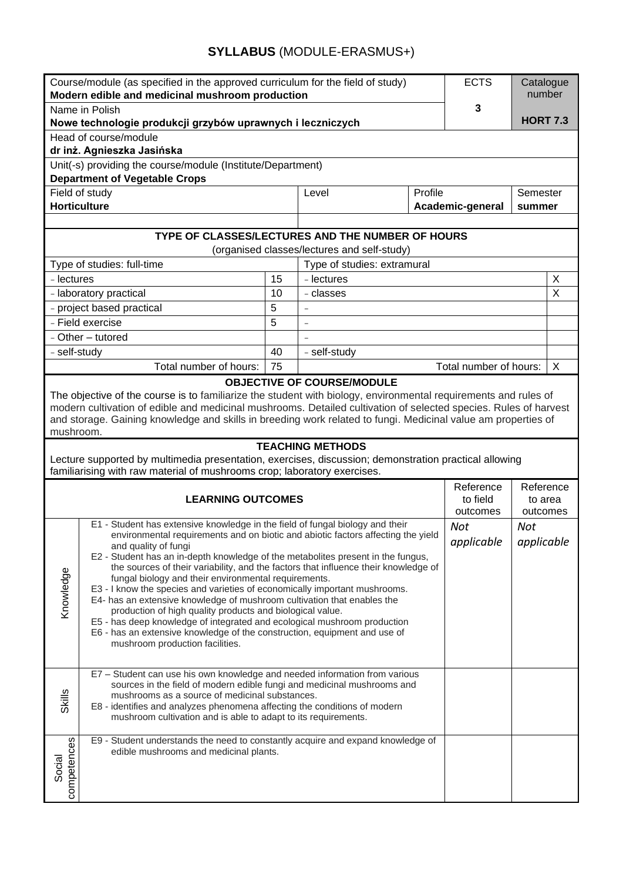# **SYLLABUS** (MODULE-ERASMUS+)

| Course/module (as specified in the approved curriculum for the field of study)<br>Modern edible and medicinal mushroom production                                                                                                                                                                                                                                                            |                                                                                                                                                                                                                                                                                                                                                                                                                                                                                                                                                                                                                                                                                                                                                                                                                                                |    |                                   |         | <b>ECTS</b>                       | Catalogue<br>number              |   |  |  |
|----------------------------------------------------------------------------------------------------------------------------------------------------------------------------------------------------------------------------------------------------------------------------------------------------------------------------------------------------------------------------------------------|------------------------------------------------------------------------------------------------------------------------------------------------------------------------------------------------------------------------------------------------------------------------------------------------------------------------------------------------------------------------------------------------------------------------------------------------------------------------------------------------------------------------------------------------------------------------------------------------------------------------------------------------------------------------------------------------------------------------------------------------------------------------------------------------------------------------------------------------|----|-----------------------------------|---------|-----------------------------------|----------------------------------|---|--|--|
| Name in Polish                                                                                                                                                                                                                                                                                                                                                                               |                                                                                                                                                                                                                                                                                                                                                                                                                                                                                                                                                                                                                                                                                                                                                                                                                                                |    |                                   |         | 3                                 |                                  |   |  |  |
| Nowe technologie produkcji grzybów uprawnych i leczniczych                                                                                                                                                                                                                                                                                                                                   |                                                                                                                                                                                                                                                                                                                                                                                                                                                                                                                                                                                                                                                                                                                                                                                                                                                |    |                                   |         | <b>HORT 7.3</b>                   |                                  |   |  |  |
| Head of course/module                                                                                                                                                                                                                                                                                                                                                                        |                                                                                                                                                                                                                                                                                                                                                                                                                                                                                                                                                                                                                                                                                                                                                                                                                                                |    |                                   |         |                                   |                                  |   |  |  |
| dr inż. Agnieszka Jasińska                                                                                                                                                                                                                                                                                                                                                                   |                                                                                                                                                                                                                                                                                                                                                                                                                                                                                                                                                                                                                                                                                                                                                                                                                                                |    |                                   |         |                                   |                                  |   |  |  |
| Unit(-s) providing the course/module (Institute/Department)<br><b>Department of Vegetable Crops</b>                                                                                                                                                                                                                                                                                          |                                                                                                                                                                                                                                                                                                                                                                                                                                                                                                                                                                                                                                                                                                                                                                                                                                                |    |                                   |         |                                   |                                  |   |  |  |
| Field of study                                                                                                                                                                                                                                                                                                                                                                               |                                                                                                                                                                                                                                                                                                                                                                                                                                                                                                                                                                                                                                                                                                                                                                                                                                                |    | Level                             | Profile | Semester                          |                                  |   |  |  |
| <b>Horticulture</b>                                                                                                                                                                                                                                                                                                                                                                          |                                                                                                                                                                                                                                                                                                                                                                                                                                                                                                                                                                                                                                                                                                                                                                                                                                                |    |                                   |         | Academic-general<br>summer        |                                  |   |  |  |
| TYPE OF CLASSES/LECTURES AND THE NUMBER OF HOURS                                                                                                                                                                                                                                                                                                                                             |                                                                                                                                                                                                                                                                                                                                                                                                                                                                                                                                                                                                                                                                                                                                                                                                                                                |    |                                   |         |                                   |                                  |   |  |  |
| (organised classes/lectures and self-study)                                                                                                                                                                                                                                                                                                                                                  |                                                                                                                                                                                                                                                                                                                                                                                                                                                                                                                                                                                                                                                                                                                                                                                                                                                |    |                                   |         |                                   |                                  |   |  |  |
|                                                                                                                                                                                                                                                                                                                                                                                              | Type of studies: full-time                                                                                                                                                                                                                                                                                                                                                                                                                                                                                                                                                                                                                                                                                                                                                                                                                     |    | Type of studies: extramural       |         |                                   |                                  |   |  |  |
| - lectures                                                                                                                                                                                                                                                                                                                                                                                   |                                                                                                                                                                                                                                                                                                                                                                                                                                                                                                                                                                                                                                                                                                                                                                                                                                                | 15 | - lectures<br>X                   |         |                                   |                                  |   |  |  |
|                                                                                                                                                                                                                                                                                                                                                                                              | - laboratory practical                                                                                                                                                                                                                                                                                                                                                                                                                                                                                                                                                                                                                                                                                                                                                                                                                         | 10 | - classes                         |         |                                   |                                  | X |  |  |
|                                                                                                                                                                                                                                                                                                                                                                                              | - project based practical                                                                                                                                                                                                                                                                                                                                                                                                                                                                                                                                                                                                                                                                                                                                                                                                                      | 5  | $\equiv$                          |         |                                   |                                  |   |  |  |
|                                                                                                                                                                                                                                                                                                                                                                                              | - Field exercise                                                                                                                                                                                                                                                                                                                                                                                                                                                                                                                                                                                                                                                                                                                                                                                                                               | 5  | $\overline{\phantom{a}}$          |         |                                   |                                  |   |  |  |
|                                                                                                                                                                                                                                                                                                                                                                                              | - Other - tutored                                                                                                                                                                                                                                                                                                                                                                                                                                                                                                                                                                                                                                                                                                                                                                                                                              |    |                                   |         |                                   |                                  |   |  |  |
| - self-study                                                                                                                                                                                                                                                                                                                                                                                 |                                                                                                                                                                                                                                                                                                                                                                                                                                                                                                                                                                                                                                                                                                                                                                                                                                                | 40 | - self-study                      |         |                                   |                                  |   |  |  |
|                                                                                                                                                                                                                                                                                                                                                                                              | Total number of hours:                                                                                                                                                                                                                                                                                                                                                                                                                                                                                                                                                                                                                                                                                                                                                                                                                         | 75 | <b>OBJECTIVE OF COURSE/MODULE</b> |         | Total number of hours:            |                                  | X |  |  |
| The objective of the course is to familiarize the student with biology, environmental requirements and rules of<br>modern cultivation of edible and medicinal mushrooms. Detailed cultivation of selected species. Rules of harvest<br>and storage. Gaining knowledge and skills in breeding work related to fungi. Medicinal value am properties of<br>mushroom.<br><b>TEACHING METHODS</b> |                                                                                                                                                                                                                                                                                                                                                                                                                                                                                                                                                                                                                                                                                                                                                                                                                                                |    |                                   |         |                                   |                                  |   |  |  |
| Lecture supported by multimedia presentation, exercises, discussion; demonstration practical allowing<br>familiarising with raw material of mushrooms crop; laboratory exercises.                                                                                                                                                                                                            |                                                                                                                                                                                                                                                                                                                                                                                                                                                                                                                                                                                                                                                                                                                                                                                                                                                |    |                                   |         |                                   |                                  |   |  |  |
| <b>LEARNING OUTCOMES</b>                                                                                                                                                                                                                                                                                                                                                                     |                                                                                                                                                                                                                                                                                                                                                                                                                                                                                                                                                                                                                                                                                                                                                                                                                                                |    |                                   |         | Reference<br>to field<br>outcomes | Reference<br>to area<br>outcomes |   |  |  |
| Knowledge                                                                                                                                                                                                                                                                                                                                                                                    | E1 - Student has extensive knowledge in the field of fungal biology and their<br>environmental requirements and on biotic and abiotic factors affecting the yield<br>and quality of fungi<br>E2 - Student has an in-depth knowledge of the metabolites present in the fungus,<br>the sources of their variability, and the factors that influence their knowledge of<br>fungal biology and their environmental requirements.<br>E3 - I know the species and varieties of economically important mushrooms.<br>E4- has an extensive knowledge of mushroom cultivation that enables the<br>production of high quality products and biological value.<br>E5 - has deep knowledge of integrated and ecological mushroom production<br>E6 - has an extensive knowledge of the construction, equipment and use of<br>mushroom production facilities. |    |                                   |         |                                   | Not<br>applicable                |   |  |  |
| Skills                                                                                                                                                                                                                                                                                                                                                                                       | E7 - Student can use his own knowledge and needed information from various<br>sources in the field of modern edible fungi and medicinal mushrooms and<br>mushrooms as a source of medicinal substances.<br>E8 - identifies and analyzes phenomena affecting the conditions of modern<br>mushroom cultivation and is able to adapt to its requirements.                                                                                                                                                                                                                                                                                                                                                                                                                                                                                         |    |                                   |         |                                   |                                  |   |  |  |
| E9 - Student understands the need to constantly acquire and expand knowledge of<br>competences<br>edible mushrooms and medicinal plants.<br>Social                                                                                                                                                                                                                                           |                                                                                                                                                                                                                                                                                                                                                                                                                                                                                                                                                                                                                                                                                                                                                                                                                                                |    |                                   |         |                                   |                                  |   |  |  |